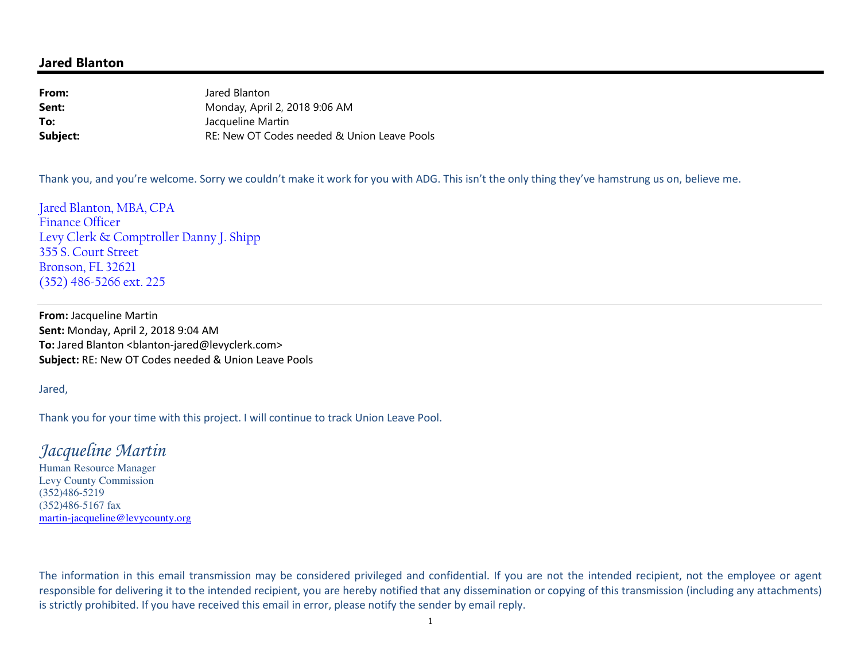#### **Jared Blanton**

**From:** Jared Blanton Monday, April 2, 2018 9:06 AM**Sent:To:** Jacqueline Martin RE: New OT Codes needed & Union Leave Pools**Subject:**

Thank you, and you're welcome. Sorry we couldn't make it work for you with ADG. This isn't the only thing they've hamstrung us on, believe me.

Jared Blanton, MBA, CPA Finance Officer Levy Clerk & Comptroller Danny J. Shipp 355 S. Court Street Bronson, FL 32621 (352) 486-5266 ext. 225

**From:** Jacqueline Martin **Sent:** Monday, April 2, 2018 9:04 AM To: Jared Blanton <blanton-jared@levyclerk.com> **Subject:** RE: New OT Codes needed & Union Leave Pools

Jared,

Thank you for your time with this project. I will continue to track Union Leave Pool.

## *Jacqueline Martin*

Human Resource Manager Levy County Commission (352)486-5219 (352)486-5167 fax martin-jacqueline@levycounty.org

The information in this email transmission may be considered privileged and confidential. If you are not the intended recipient, not the employee or agent responsible for delivering it to the intended recipient, you are hereby notified that any dissemination or copying of this transmission (including any attachments) is strictly prohibited. If you have received this email in error, please notify the sender by email reply.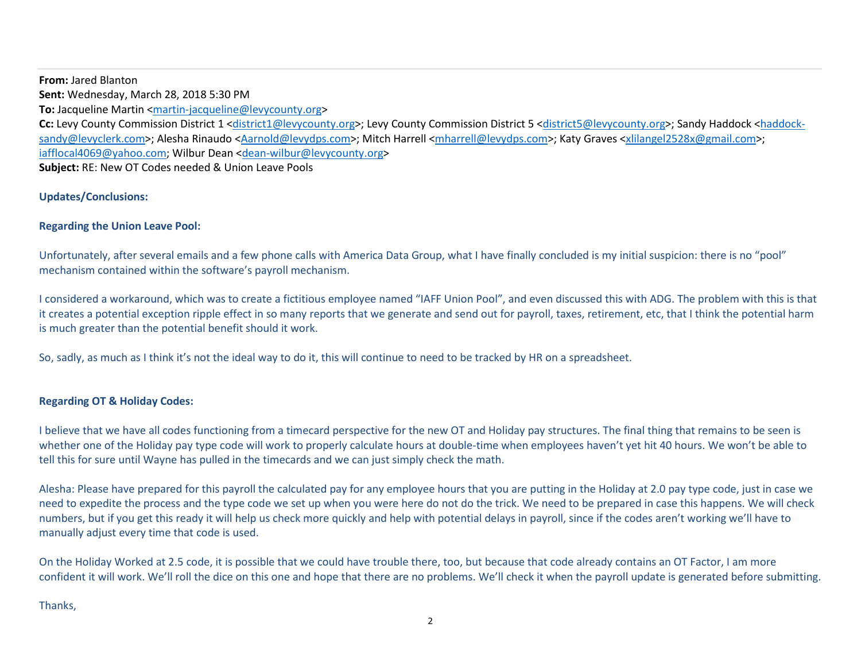**From:** Jared Blanton **Sent:** Wednesday, March 28, 2018 5:30 PM **To:** Jacqueline Martin <martin-jacqueline@levycounty.org> Cc: Levy County Commission District 1 <district1@levycounty.org>; Levy County Commission District 5 <district5@levycounty.org>; Sandy Haddock <haddocksandy@levyclerk.com>; Alesha Rinaudo <Aarnold@levydps.com>; Mitch Harrell <mharrell@levydps.com>; Katy Graves <xlilangel2528x@gmail.com>; iafflocal4069@yahoo.com; Wilbur Dean <dean-wilbur@levycounty.org> **Subject:** RE: New OT Codes needed & Union Leave Pools

#### **Updates/Conclusions:**

#### **Regarding the Union Leave Pool:**

Unfortunately, after several emails and a few phone calls with America Data Group, what I have finally concluded is my initial suspicion: there is no "pool" mechanism contained within the software's payroll mechanism.

I considered a workaround, which was to create a fictitious employee named "IAFF Union Pool", and even discussed this with ADG. The problem with this is that it creates a potential exception ripple effect in so many reports that we generate and send out for payroll, taxes, retirement, etc, that I think the potential harm is much greater than the potential benefit should it work.

So, sadly, as much as I think it's not the ideal way to do it, this will continue to need to be tracked by HR on a spreadsheet.

#### **Regarding OT & Holiday Codes:**

I believe that we have all codes functioning from a timecard perspective for the new OT and Holiday pay structures. The final thing that remains to be seen is whether one of the Holiday pay type code will work to properly calculate hours at double-time when employees haven't yet hit 40 hours. We won't be able to tell this for sure until Wayne has pulled in the timecards and we can just simply check the math.

Alesha: Please have prepared for this payroll the calculated pay for any employee hours that you are putting in the Holiday at 2.0 pay type code, just in case we need to expedite the process and the type code we set up when you were here do not do the trick. We need to be prepared in case this happens. We will check numbers, but if you get this ready it will help us check more quickly and help with potential delays in payroll, since if the codes aren't working we'll have to manually adjust every time that code is used.

On the Holiday Worked at 2.5 code, it is possible that we could have trouble there, too, but because that code already contains an OT Factor, I am more confident it will work. We'll roll the dice on this one and hope that there are no problems. We'll check it when the payroll update is generated before submitting.

Thanks,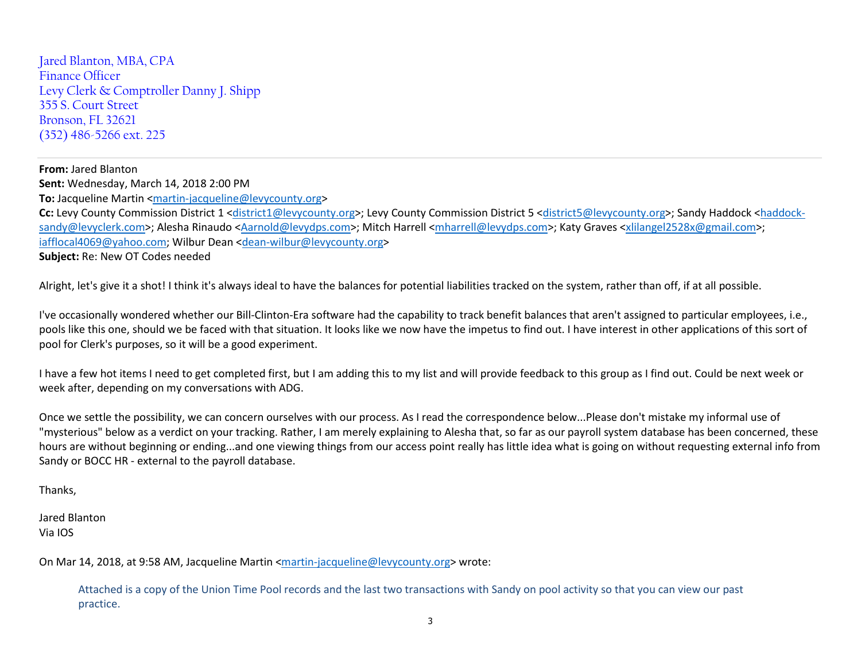Jared Blanton, MBA, CPA Finance Officer Levy Clerk & Comptroller Danny J. Shipp 355 S. Court Street Bronson, FL 32621 (352) 486-5266 ext. 225

**From:** Jared Blanton **Sent:** Wednesday, March 14, 2018 2:00 PM **To:** Jacqueline Martin <martin-jacqueline@levycounty.org> **Cc:** Levy County Commission District 1 <district1@levycounty.org>; Levy County Commission District 5 <district5@levycounty.org>; Sandy Haddock <haddocksandy@levyclerk.com>; Alesha Rinaudo <Aarnold@levydps.com>; Mitch Harrell <mharrell@levydps.com>; Katy Graves <xlilangel2528x@gmail.com>; iafflocal4069@yahoo.com; Wilbur Dean <dean-wilbur@levycounty.org> **Subject:** Re: New OT Codes needed

Alright, let's give it a shot! I think it's always ideal to have the balances for potential liabilities tracked on the system, rather than off, if at all possible.

I've occasionally wondered whether our Bill-Clinton-Era software had the capability to track benefit balances that aren't assigned to particular employees, i.e., pools like this one, should we be faced with that situation. It looks like we now have the impetus to find out. I have interest in other applications of this sort of pool for Clerk's purposes, so it will be a good experiment.

I have a few hot items I need to get completed first, but I am adding this to my list and will provide feedback to this group as I find out. Could be next week or week after, depending on my conversations with ADG.

Once we settle the possibility, we can concern ourselves with our process. As I read the correspondence below...Please don't mistake my informal use of "mysterious" below as a verdict on your tracking. Rather, I am merely explaining to Alesha that, so far as our payroll system database has been concerned, these hours are without beginning or ending...and one viewing things from our access point really has little idea what is going on without requesting external info from Sandy or BOCC HR - external to the payroll database.

Thanks,

Jared Blanton Via IOS

On Mar 14, 2018, at 9:58 AM, Jacqueline Martin <martin-jacqueline@levycounty.org> wrote:

Attached is a copy of the Union Time Pool records and the last two transactions with Sandy on pool activity so that you can view our past practice.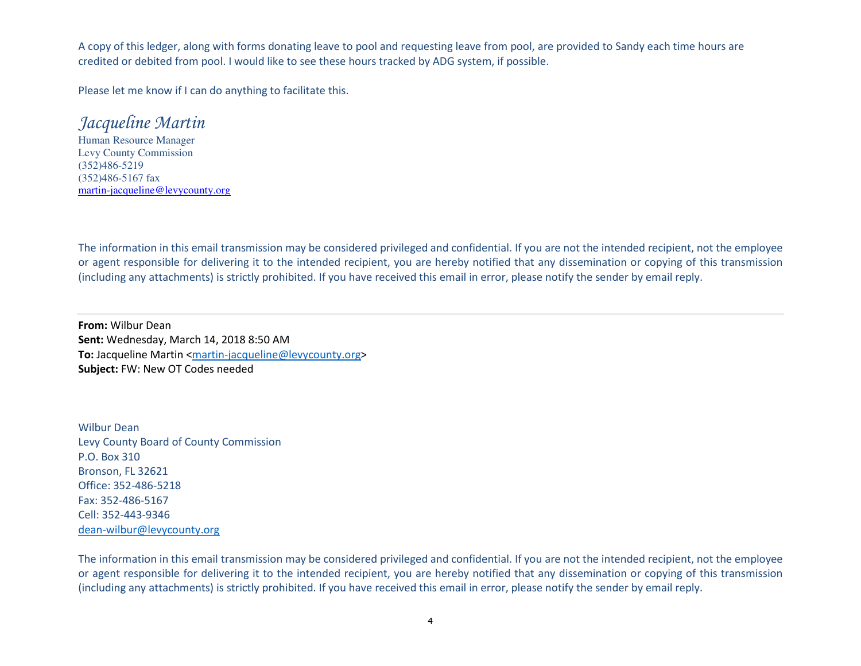A copy of this ledger, along with forms donating leave to pool and requesting leave from pool, are provided to Sandy each time hours are credited or debited from pool. I would like to see these hours tracked by ADG system, if possible.

Please let me know if I can do anything to facilitate this.

# *Jacqueline Martin*

 Human Resource Manager Levy County Commission(352)486-5219 (352)486-5167 faxmartin-jacqueline@levycounty.org

The information in this email transmission may be considered privileged and confidential. If you are not the intended recipient, not the employee or agent responsible for delivering it to the intended recipient, you are hereby notified that any dissemination or copying of this transmission (including any attachments) is strictly prohibited. If you have received this email in error, please notify the sender by email reply.

**From:** Wilbur Dean **Sent:** Wednesday, March 14, 2018 8:50 AM **To:** Jacqueline Martin <martin-jacqueline@levycounty.org> **Subject:** FW: New OT Codes needed

Wilbur Dean Levy County Board of County CommissionP.O. Box 310 Bronson, FL 32621 Office: 352-486-5218Fax: 352-486-5167 Cell: 352-443-9346dean-wilbur@levycounty.org

The information in this email transmission may be considered privileged and confidential. If you are not the intended recipient, not the employee or agent responsible for delivering it to the intended recipient, you are hereby notified that any dissemination or copying of this transmission (including any attachments) is strictly prohibited. If you have received this email in error, please notify the sender by email reply.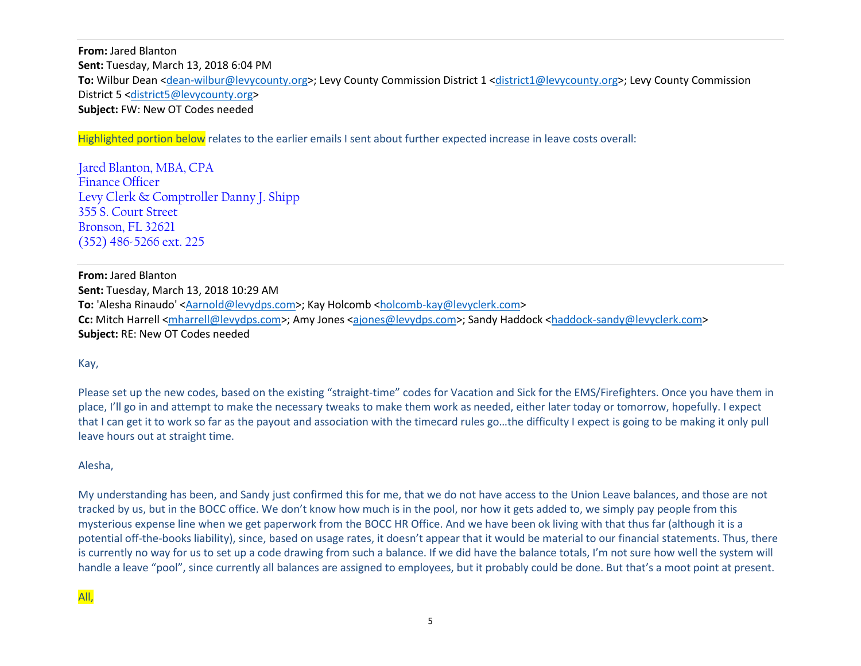**From:** Jared Blanton **Sent:** Tuesday, March 13, 2018 6:04 PM **To:** Wilbur Dean <dean-wilbur@levycounty.org>; Levy County Commission District 1 <district1@levycounty.org>; Levy County Commission District 5 <district5@levycounty.org> **Subject:** FW: New OT Codes needed

Highlighted portion below relates to the earlier emails I sent about further expected increase in leave costs overall:

Jared Blanton, MBA, CPAFinance Officer Levy Clerk & Comptroller Danny J. Shipp355 S. Court Street Bronson, FL 32621(352) 486-5266 ext. 225

**From:** Jared Blanton **Sent:** Tuesday, March 13, 2018 10:29 AM **To:** 'Alesha Rinaudo' <Aarnold@levydps.com>; Kay Holcomb <holcomb-kay@levyclerk.com> **Cc:** Mitch Harrell <mharrell@levydps.com>; Amy Jones <ajones@levydps.com>; Sandy Haddock <haddock-sandy@levyclerk.com> **Subject:** RE: New OT Codes needed

Kay,

Please set up the new codes, based on the existing "straight-time" codes for Vacation and Sick for the EMS/Firefighters. Once you have them in place, I'll go in and attempt to make the necessary tweaks to make them work as needed, either later today or tomorrow, hopefully. I expect that I can get it to work so far as the payout and association with the timecard rules go…the difficulty I expect is going to be making it only pull leave hours out at straight time.

Alesha,

My understanding has been, and Sandy just confirmed this for me, that we do not have access to the Union Leave balances, and those are not tracked by us, but in the BOCC office. We don't know how much is in the pool, nor how it gets added to, we simply pay people from this mysterious expense line when we get paperwork from the BOCC HR Office. And we have been ok living with that thus far (although it is a potential off-the-books liability), since, based on usage rates, it doesn't appear that it would be material to our financial statements. Thus, there is currently no way for us to set up a code drawing from such a balance. If we did have the balance totals, I'm not sure how well the system will handle a leave "pool", since currently all balances are assigned to employees, but it probably could be done. But that's a moot point at present.

All,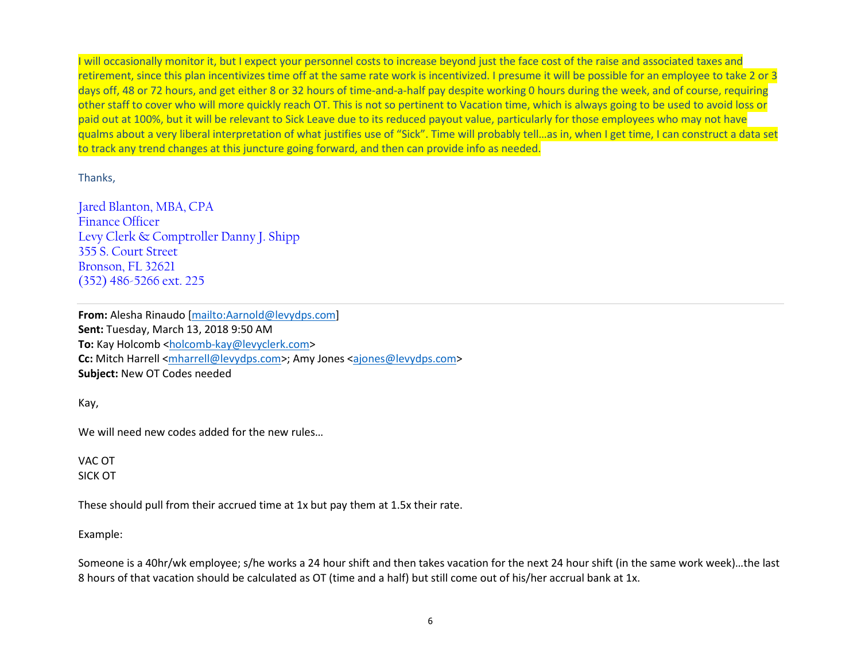will occasionally monitor it, but I expect your personnel costs to increase beyond just the face cost of the raise and associated taxes and retirement, since this plan incentivizes time off at the same rate work is incentivized. I presume it will be possible for an employee to take 2 or 3 days off, 48 or 72 hours, and get either 8 or 32 hours of time-and-a-half pay despite working 0 hours during the week, and of course, requiring other staff to cover who will more quickly reach OT. This is not so pertinent to Vacation time, which is always going to be used to avoid loss or paid out at 100%, but it will be relevant to Sick Leave due to its reduced payout value, particularly for those employees who may not have qualms about a very liberal interpretation of what justifies use of "Sick". Time will probably tell…as in, when I get time, I can construct a data set to track any trend changes at this juncture going forward, and then can provide info as needed.

Thanks,

Jared Blanton, MBA, CPAFinance Officer Levy Clerk & Comptroller Danny J. Shipp355 S. Court Street Bronson, FL 32621(352) 486-5266 ext. 225

**From:** Alesha Rinaudo [mailto:Aarnold@levydps.com] **Sent:** Tuesday, March 13, 2018 9:50 AM **To:** Kay Holcomb <holcomb-kay@levyclerk.com> **Cc:** Mitch Harrell <mharrell@levydps.com>; Amy Jones <ajones@levydps.com> **Subject:** New OT Codes needed

Kay,

We will need new codes added for the new rules...

VAC OT SICK OT

These should pull from their accrued time at 1x but pay them at 1.5x their rate.

#### Example:

Someone is a 40hr/wk employee; s/he works a 24 hour shift and then takes vacation for the next 24 hour shift (in the same work week)…the last 8 hours of that vacation should be calculated as OT (time and a half) but still come out of his/her accrual bank at 1x.